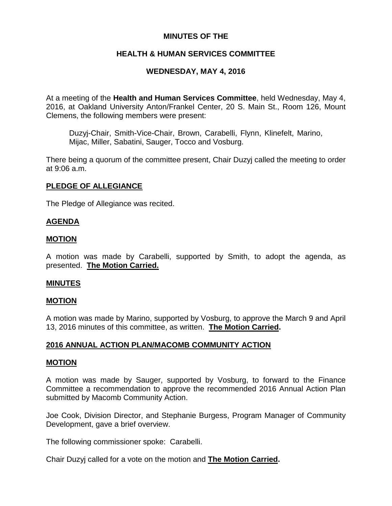# **MINUTES OF THE**

# **HEALTH & HUMAN SERVICES COMMITTEE**

# **WEDNESDAY, MAY 4, 2016**

At a meeting of the **Health and Human Services Committee**, held Wednesday, May 4, 2016, at Oakland University Anton/Frankel Center, 20 S. Main St., Room 126, Mount Clemens, the following members were present:

Duzyj-Chair, Smith-Vice-Chair, Brown, Carabelli, Flynn, Klinefelt, Marino, Mijac, Miller, Sabatini, Sauger, Tocco and Vosburg.

There being a quorum of the committee present, Chair Duzyj called the meeting to order at 9:06 a.m.

### **PLEDGE OF ALLEGIANCE**

The Pledge of Allegiance was recited.

### **AGENDA**

### **MOTION**

A motion was made by Carabelli, supported by Smith, to adopt the agenda, as presented. **The Motion Carried.**

### **MINUTES**

### **MOTION**

A motion was made by Marino, supported by Vosburg, to approve the March 9 and April 13, 2016 minutes of this committee, as written. **The Motion Carried.**

### **2016 ANNUAL ACTION PLAN/MACOMB COMMUNITY ACTION**

#### **MOTION**

A motion was made by Sauger, supported by Vosburg, to forward to the Finance Committee a recommendation to approve the recommended 2016 Annual Action Plan submitted by Macomb Community Action.

Joe Cook, Division Director, and Stephanie Burgess, Program Manager of Community Development, gave a brief overview.

The following commissioner spoke: Carabelli.

Chair Duzyj called for a vote on the motion and **The Motion Carried.**